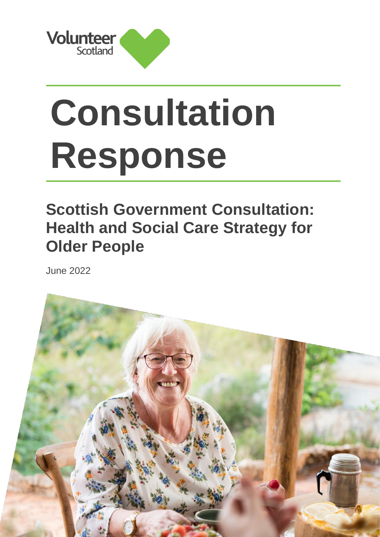

# **Consultation Response**

### **Scottish Government Consultation: Health and Social Care Strategy for Older People**

June 2022

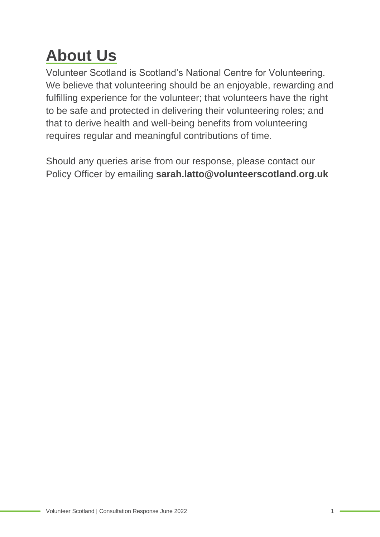# **About Us**

Volunteer Scotland is Scotland's National Centre for Volunteering. We believe that volunteering should be an enjoyable, rewarding and fulfilling experience for the volunteer; that volunteers have the right to be safe and protected in delivering their volunteering roles; and that to derive health and well-being benefits from volunteering requires regular and meaningful contributions of time.

Should any queries arise from our response, please contact our Policy Officer by emailing **sarah.latto@volunteerscotland.org.uk**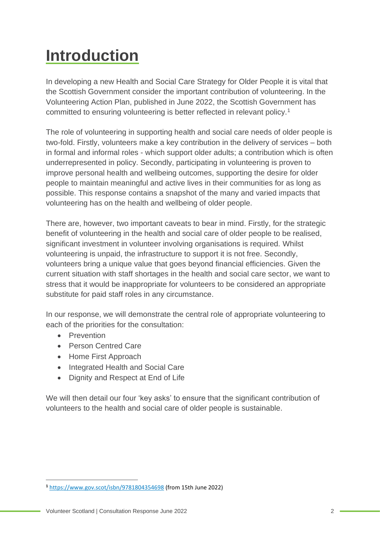# **Introduction**

In developing a new Health and Social Care Strategy for Older People it is vital that the Scottish Government consider the important contribution of volunteering. In the Volunteering Action Plan, published in June 2022, the Scottish Government has committed to ensuring volunteering is better reflected in relevant policy.<sup>1</sup>

The role of volunteering in supporting health and social care needs of older people is two-fold. Firstly, volunteers make a key contribution in the delivery of services – both in formal and informal roles - which support older adults; a contribution which is often underrepresented in policy. Secondly, participating in volunteering is proven to improve personal health and wellbeing outcomes, supporting the desire for older people to maintain meaningful and active lives in their communities for as long as possible. This response contains a snapshot of the many and varied impacts that volunteering has on the health and wellbeing of older people.

There are, however, two important caveats to bear in mind. Firstly, for the strategic benefit of volunteering in the health and social care of older people to be realised, significant investment in volunteer involving organisations is required. Whilst volunteering is unpaid, the infrastructure to support it is not free. Secondly, volunteers bring a unique value that goes beyond financial efficiencies. Given the current situation with staff shortages in the health and social care sector, we want to stress that it would be inappropriate for volunteers to be considered an appropriate substitute for paid staff roles in any circumstance.

In our response, we will demonstrate the central role of appropriate volunteering to each of the priorities for the consultation:

- Prevention
- Person Centred Care
- Home First Approach
- Integrated Health and Social Care
- Dignity and Respect at End of Life

We will then detail our four 'key asks' to ensure that the significant contribution of volunteers to the health and social care of older people is sustainable.

**<sup>1</sup>** <https://www.gov.scot/isbn/9781804354698> (from 15th June 2022)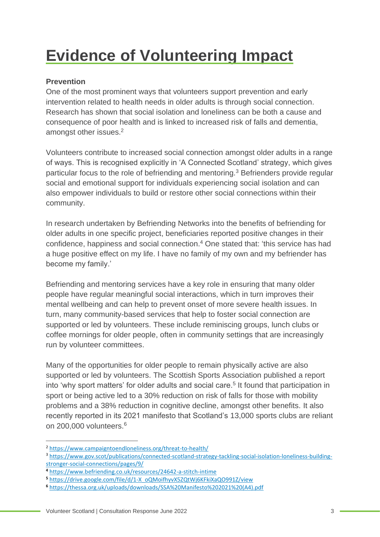## **Evidence of Volunteering Impact**

#### **Prevention**

One of the most prominent ways that volunteers support prevention and early intervention related to health needs in older adults is through social connection. Research has shown that social isolation and loneliness can be both a cause and consequence of poor health and is linked to increased risk of falls and dementia, amongst other issues.<sup>2</sup>

Volunteers contribute to increased social connection amongst older adults in a range of ways. This is recognised explicitly in 'A Connected Scotland' strategy, which gives particular focus to the role of befriending and mentoring.<sup>3</sup> Befrienders provide regular social and emotional support for individuals experiencing social isolation and can also empower individuals to build or restore other social connections within their community.

In research undertaken by Befriending Networks into the benefits of befriending for older adults in one specific project, beneficiaries reported positive changes in their confidence, happiness and social connection.<sup>4</sup> One stated that: 'this service has had a huge positive effect on my life. I have no family of my own and my befriender has become my family.'

Befriending and mentoring services have a key role in ensuring that many older people have regular meaningful social interactions, which in turn improves their mental wellbeing and can help to prevent onset of more severe health issues. In turn, many community-based services that help to foster social connection are supported or led by volunteers. These include reminiscing groups, lunch clubs or coffee mornings for older people, often in community settings that are increasingly run by volunteer committees.

Many of the opportunities for older people to remain physically active are also supported or led by volunteers. The Scottish Sports Association published a report into 'why sport matters' for older adults and social care.<sup>5</sup> It found that participation in sport or being active led to a 30% reduction on risk of falls for those with mobility problems and a 38% reduction in cognitive decline, amongst other benefits. It also recently reported in its 2021 manifesto that Scotland's 13,000 sports clubs are reliant on 200,000 volunteers.<sup>6</sup>

<sup>2</sup> <https://www.campaigntoendloneliness.org/threat-to-health/>

<sup>3</sup> [https://www.gov.scot/publications/connected-scotland-strategy-tackling-social-isolation-loneliness-building](https://www.gov.scot/publications/connected-scotland-strategy-tackling-social-isolation-loneliness-building-stronger-social-connections/pages/9/)[stronger-social-connections/pages/9/](https://www.gov.scot/publications/connected-scotland-strategy-tackling-social-isolation-loneliness-building-stronger-social-connections/pages/9/)

**<sup>4</sup>** <https://www.befriending.co.uk/resources/24642-a-stitch-intime>

**<sup>5</sup>** [https://drive.google.com/file/d/1-X\\_oQMoifhyvX5ZQtWj6KFkiXaQO991Z/view](https://drive.google.com/file/d/1-X_oQMoifhyvX5ZQtWj6KFkiXaQO991Z/view)

**<sup>6</sup>** [https://thessa.org.uk/uploads/downloads/SSA%20Manifesto%202021%20\(A4\).pdf](https://thessa.org.uk/uploads/downloads/SSA%20Manifesto%202021%20(A4).pdf)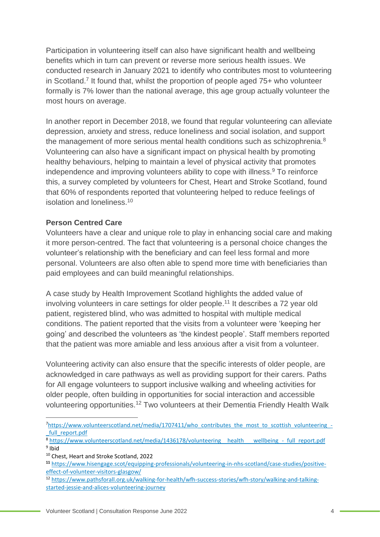Participation in volunteering itself can also have significant health and wellbeing benefits which in turn can prevent or reverse more serious health issues. We conducted research in January 2021 to identify who contributes most to volunteering in Scotland.<sup>7</sup> It found that, whilst the proportion of people aged 75+ who volunteer formally is 7% lower than the national average, this age group actually volunteer the most hours on average.

In another report in December 2018, we found that regular volunteering can alleviate depression, anxiety and stress, reduce loneliness and social isolation, and support the management of more serious mental health conditions such as schizophrenia.<sup>8</sup> Volunteering can also have a significant impact on physical health by promoting healthy behaviours, helping to maintain a level of physical activity that promotes independence and improving volunteers ability to cope with illness.<sup>9</sup> To reinforce this, a survey completed by volunteers for Chest, Heart and Stroke Scotland, found that 60% of respondents reported that volunteering helped to reduce feelings of isolation and loneliness. 10

#### **Person Centred Care**

Volunteers have a clear and unique role to play in enhancing social care and making it more person-centred. The fact that volunteering is a personal choice changes the volunteer's relationship with the beneficiary and can feel less formal and more personal. Volunteers are also often able to spend more time with beneficiaries than paid employees and can build meaningful relationships.

A case study by Health Improvement Scotland highlights the added value of involving volunteers in care settings for older people. <sup>11</sup> It describes a 72 year old patient, registered blind, who was admitted to hospital with multiple medical conditions. The patient reported that the visits from a volunteer were 'keeping her going' and described the volunteers as 'the kindest people'. Staff members reported that the patient was more amiable and less anxious after a visit from a volunteer.

Volunteering activity can also ensure that the specific interests of older people, are acknowledged in care pathways as well as providing support for their carers. Paths for All engage volunteers to support inclusive walking and wheeling activities for older people, often building in opportunities for social interaction and accessible volunteering opportunities.<sup>12</sup> Two volunteers at their Dementia Friendly Health Walk

<sup>10</sup> Chest, Heart and Stroke Scotland, 2022

<sup>12</sup> [https://www.pathsforall.org.uk/walking-for-health/wfh-success-stories/wfh-story/walking-and-talking](https://www.pathsforall.org.uk/walking-for-health/wfh-success-stories/wfh-story/walking-and-talking-started-jessie-and-alices-volunteering-journey)[started-jessie-and-alices-volunteering-journey](https://www.pathsforall.org.uk/walking-for-health/wfh-success-stories/wfh-story/walking-and-talking-started-jessie-and-alices-volunteering-journey)

<sup>7</sup>[https://www.volunteerscotland.net/media/1707411/who\\_contributes\\_the\\_most\\_to\\_scottish\\_volunteering\\_](https://www.volunteerscotland.net/media/1707411/who_contributes_the_most_to_scottish_volunteering_-_full_report.pdf) full\_report.pdf

<sup>8</sup> https://www.volunteerscotland.net/media/1436178/volunteering health wellbeing - full\_report.pdf <sup>9</sup> Ibid

**<sup>11</sup>** [https://www.hisengage.scot/equipping-professionals/volunteering-in-nhs-scotland/case-studies/positive](https://www.hisengage.scot/equipping-professionals/volunteering-in-nhs-scotland/case-studies/positive-effect-of-volunteer-visitors-glasgow/)[effect-of-volunteer-visitors-glasgow/](https://www.hisengage.scot/equipping-professionals/volunteering-in-nhs-scotland/case-studies/positive-effect-of-volunteer-visitors-glasgow/)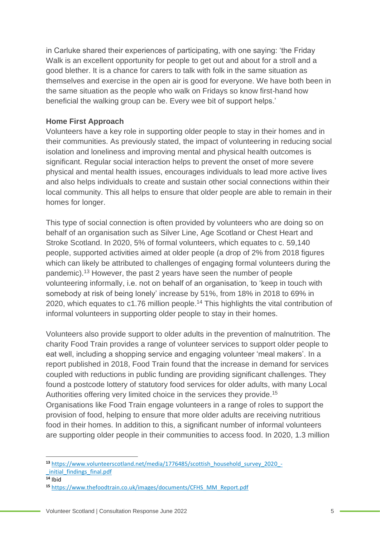in Carluke shared their experiences of participating, with one saying: 'the Friday Walk is an excellent opportunity for people to get out and about for a stroll and a good blether. It is a chance for carers to talk with folk in the same situation as themselves and exercise in the open air is good for everyone. We have both been in the same situation as the people who walk on Fridays so know first-hand how beneficial the walking group can be. Every wee bit of support helps.'

#### **Home First Approach**

Volunteers have a key role in supporting older people to stay in their homes and in their communities. As previously stated, the impact of volunteering in reducing social isolation and loneliness and improving mental and physical health outcomes is significant. Regular social interaction helps to prevent the onset of more severe physical and mental health issues, encourages individuals to lead more active lives and also helps individuals to create and sustain other social connections within their local community. This all helps to ensure that older people are able to remain in their homes for longer.

This type of social connection is often provided by volunteers who are doing so on behalf of an organisation such as Silver Line, Age Scotland or Chest Heart and Stroke Scotland. In 2020, 5% of formal volunteers, which equates to c. 59,140 people, supported activities aimed at older people (a drop of 2% from 2018 figures which can likely be attributed to challenges of engaging formal volunteers during the pandemic). <sup>13</sup> However, the past 2 years have seen the number of people volunteering informally, i.e. not on behalf of an organisation, to 'keep in touch with somebody at risk of being lonely' increase by 51%, from 18% in 2018 to 69% in 2020, which equates to c1.76 million people.<sup>14</sup> This highlights the vital contribution of informal volunteers in supporting older people to stay in their homes.

Volunteers also provide support to older adults in the prevention of malnutrition. The charity Food Train provides a range of volunteer services to support older people to eat well, including a shopping service and engaging volunteer 'meal makers'. In a report published in 2018, Food Train found that the increase in demand for services coupled with reductions in public funding are providing significant challenges. They found a postcode lottery of statutory food services for older adults, with many Local Authorities offering very limited choice in the services they provide.<sup>15</sup> Organisations like Food Train engage volunteers in a range of roles to support the provision of food, helping to ensure that more older adults are receiving nutritious food in their homes. In addition to this, a significant number of informal volunteers are supporting older people in their communities to access food. In 2020, 1.3 million

**<sup>13</sup>** [https://www.volunteerscotland.net/media/1776485/scottish\\_household\\_survey\\_2020\\_-](https://www.volunteerscotland.net/media/1776485/scottish_household_survey_2020_-_initial_findings_final.pdf) [\\_initial\\_findings\\_final.pdf](https://www.volunteerscotland.net/media/1776485/scottish_household_survey_2020_-_initial_findings_final.pdf)

 $\overline{14}$  Ibid

**<sup>15</sup>** [https://www.thefoodtrain.co.uk/images/documents/CFHS\\_MM\\_Report.pdf](https://www.thefoodtrain.co.uk/images/documents/CFHS_MM_Report.pdf)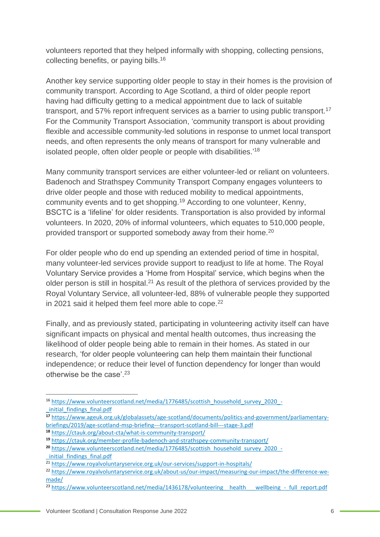volunteers reported that they helped informally with shopping, collecting pensions, collecting benefits, or paying bills. 16

Another key service supporting older people to stay in their homes is the provision of community transport. According to Age Scotland, a third of older people report having had difficulty getting to a medical appointment due to lack of suitable transport, and 57% report infrequent services as a barrier to using public transport.<sup>17</sup> For the Community Transport Association, 'community transport is about providing flexible and accessible community-led solutions in response to unmet local transport needs, and often represents the only means of transport for many vulnerable and isolated people, often older people or people with disabilities.'<sup>18</sup>

Many community transport services are either volunteer-led or reliant on volunteers. Badenoch and Strathspey Community Transport Company engages volunteers to drive older people and those with reduced mobility to medical appointments, community events and to get shopping.<sup>19</sup> According to one volunteer, Kenny, BSCTC is a 'lifeline' for older residents. Transportation is also provided by informal volunteers. In 2020, 20% of informal volunteers, which equates to 510,000 people, provided transport or supported somebody away from their home.<sup>20</sup>

For older people who do end up spending an extended period of time in hospital, many volunteer-led services provide support to readjust to life at home. The Royal Voluntary Service provides a 'Home from Hospital' service, which begins when the older person is still in hospital.<sup>21</sup> As result of the plethora of services provided by the Royal Voluntary Service, all volunteer-led, 88% of vulnerable people they supported in 2021 said it helped them feel more able to cope.<sup>22</sup>

Finally, and as previously stated, participating in volunteering activity itself can have significant impacts on physical and mental health outcomes, thus increasing the likelihood of older people being able to remain in their homes. As stated in our research, 'for older people volunteering can help them maintain their functional independence; or reduce their level of function dependency for longer than would otherwise be the case'.<sup>23</sup>

<sup>16</sup> [https://www.volunteerscotland.net/media/1776485/scottish\\_household\\_survey\\_2020\\_-](https://www.volunteerscotland.net/media/1776485/scottish_household_survey_2020_-_initial_findings_final.pdf) [\\_initial\\_findings\\_final.pdf](https://www.volunteerscotland.net/media/1776485/scottish_household_survey_2020_-_initial_findings_final.pdf)

**<sup>17</sup>** [https://www.ageuk.org.uk/globalassets/age-scotland/documents/politics-and-government/parliamentary](https://www.ageuk.org.uk/globalassets/age-scotland/documents/politics-and-government/parliamentary-briefings/2019/age-scotland-msp-briefing---transport-scotland-bill---stage-3.pdf)[briefings/2019/age-scotland-msp-briefing---transport-scotland-bill---stage-3.pdf](https://www.ageuk.org.uk/globalassets/age-scotland/documents/politics-and-government/parliamentary-briefings/2019/age-scotland-msp-briefing---transport-scotland-bill---stage-3.pdf)

**<sup>18</sup>** <https://ctauk.org/about-cta/what-is-community-transport/>

**<sup>19</sup>** <https://ctauk.org/member-profile-badenoch-and-strathspey-community-transport/>

<sup>&</sup>lt;sup>20</sup> [https://www.volunteerscotland.net/media/1776485/scottish\\_household\\_survey\\_2020\\_-](https://www.volunteerscotland.net/media/1776485/scottish_household_survey_2020_-_initial_findings_final.pdf) [\\_initial\\_findings\\_final.pdf](https://www.volunteerscotland.net/media/1776485/scottish_household_survey_2020_-_initial_findings_final.pdf)

<sup>&</sup>lt;sup>21</sup> <https://www.royalvoluntaryservice.org.uk/our-services/support-in-hospitals/>

<sup>22</sup> [https://www.royalvoluntaryservice.org.uk/about-us/our-impact/measuring-our-impact/the-difference-we](https://www.royalvoluntaryservice.org.uk/about-us/our-impact/measuring-our-impact/the-difference-we-made/)[made/](https://www.royalvoluntaryservice.org.uk/about-us/our-impact/measuring-our-impact/the-difference-we-made/)

<sup>&</sup>lt;sup>23</sup> [https://www.volunteerscotland.net/media/1436178/volunteering\\_\\_health\\_\\_\\_wellbeing\\_-\\_full\\_report.pdf](https://www.volunteerscotland.net/media/1436178/volunteering__health___wellbeing_-_full_report.pdf)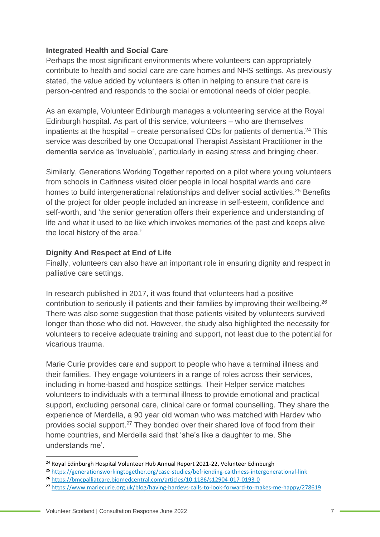#### **Integrated Health and Social Care**

Perhaps the most significant environments where volunteers can appropriately contribute to health and social care are care homes and NHS settings. As previously stated, the value added by volunteers is often in helping to ensure that care is person-centred and responds to the social or emotional needs of older people.

As an example, Volunteer Edinburgh manages a volunteering service at the Royal Edinburgh hospital. As part of this service, volunteers – who are themselves inpatients at the hospital  $-$  create personalised CDs for patients of dementia.<sup>24</sup> This service was described by one Occupational Therapist Assistant Practitioner in the dementia service as 'invaluable', particularly in easing stress and bringing cheer.

Similarly, Generations Working Together reported on a pilot where young volunteers from schools in Caithness visited older people in local hospital wards and care homes to build intergenerational relationships and deliver social activities.<sup>25</sup> Benefits of the project for older people included an increase in self-esteem, confidence and self-worth, and 'the senior generation offers their experience and understanding of life and what it used to be like which invokes memories of the past and keeps alive the local history of the area.'

#### **Dignity And Respect at End of Life**

Finally, volunteers can also have an important role in ensuring dignity and respect in palliative care settings.

In research published in 2017, it was found that volunteers had a positive contribution to seriously ill patients and their families by improving their wellbeing.<sup>26</sup> There was also some suggestion that those patients visited by volunteers survived longer than those who did not. However, the study also highlighted the necessity for volunteers to receive adequate training and support, not least due to the potential for vicarious trauma.

Marie Curie provides care and support to people who have a terminal illness and their families. They engage volunteers in a range of roles across their services, including in home-based and hospice settings. Their Helper service matches volunteers to individuals with a terminal illness to provide emotional and practical support, excluding personal care, clinical care or formal counselling. They share the experience of Merdella, a 90 year old woman who was matched with Hardev who provides social support.<sup>27</sup> They bonded over their shared love of food from their home countries, and Merdella said that 'she's like a daughter to me. She understands me'.

<sup>&</sup>lt;sup>24</sup> Royal Edinburgh Hospital Volunteer Hub Annual Report 2021-22, Volunteer Edinburgh

**<sup>25</sup>** <https://generationsworkingtogether.org/case-studies/befriending-caithness-intergenerational-link>

**<sup>26</sup>** <https://bmcpalliatcare.biomedcentral.com/articles/10.1186/s12904-017-0193-0>

**<sup>27</sup>** <https://www.mariecurie.org.uk/blog/having-hardevs-calls-to-look-forward-to-makes-me-happy/278619>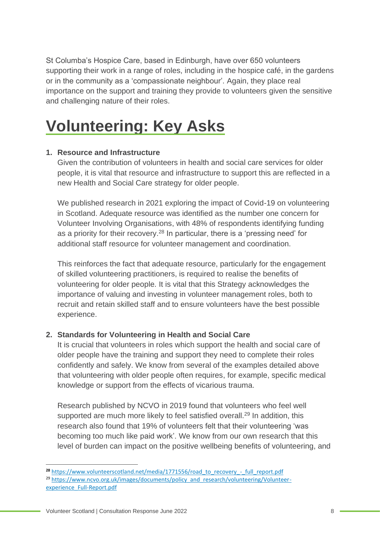St Columba's Hospice Care, based in Edinburgh, have over 650 volunteers supporting their work in a range of roles, including in the hospice café, in the gardens or in the community as a 'compassionate neighbour'. Again, they place real importance on the support and training they provide to volunteers given the sensitive and challenging nature of their roles.

### **Volunteering: Key Asks**

#### **1. Resource and Infrastructure**

Given the contribution of volunteers in health and social care services for older people, it is vital that resource and infrastructure to support this are reflected in a new Health and Social Care strategy for older people.

We published research in 2021 exploring the impact of Covid-19 on volunteering in Scotland. Adequate resource was identified as the number one concern for Volunteer Involving Organisations, with 48% of respondents identifying funding as a priority for their recovery.<sup>28</sup> In particular, there is a 'pressing need' for additional staff resource for volunteer management and coordination.

This reinforces the fact that adequate resource, particularly for the engagement of skilled volunteering practitioners, is required to realise the benefits of volunteering for older people. It is vital that this Strategy acknowledges the importance of valuing and investing in volunteer management roles, both to recruit and retain skilled staff and to ensure volunteers have the best possible experience.

#### **2. Standards for Volunteering in Health and Social Care**

It is crucial that volunteers in roles which support the health and social care of older people have the training and support they need to complete their roles confidently and safely. We know from several of the examples detailed above that volunteering with older people often requires, for example, specific medical knowledge or support from the effects of vicarious trauma.

Research published by NCVO in 2019 found that volunteers who feel well supported are much more likely to feel satisfied overall.<sup>29</sup> In addition, this research also found that 19% of volunteers felt that their volunteering 'was becoming too much like paid work'. We know from our own research that this level of burden can impact on the positive wellbeing benefits of volunteering, and

<sup>&</sup>lt;sup>28</sup> [https://www.volunteerscotland.net/media/1771556/road\\_to\\_recovery\\_-\\_full\\_report.pdf](https://www.volunteerscotland.net/media/1771556/road_to_recovery_-_full_report.pdf) <sup>29</sup> [https://www.ncvo.org.uk/images/documents/policy\\_and\\_research/volunteering/Volunteer](https://www.ncvo.org.uk/images/documents/policy_and_research/volunteering/Volunteer-experience_Full-Report.pdf)[experience\\_Full-Report.pdf](https://www.ncvo.org.uk/images/documents/policy_and_research/volunteering/Volunteer-experience_Full-Report.pdf)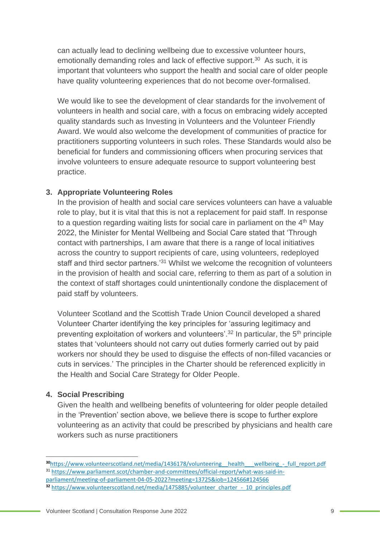can actually lead to declining wellbeing due to excessive volunteer hours, emotionally demanding roles and lack of effective support. <sup>30</sup> As such, it is important that volunteers who support the health and social care of older people have quality volunteering experiences that do not become over-formalised.

We would like to see the development of clear standards for the involvement of volunteers in health and social care, with a focus on embracing widely accepted quality standards such as Investing in Volunteers and the Volunteer Friendly Award. We would also welcome the development of communities of practice for practitioners supporting volunteers in such roles. These Standards would also be beneficial for funders and commissioning officers when procuring services that involve volunteers to ensure adequate resource to support volunteering best practice.

#### **3. Appropriate Volunteering Roles**

In the provision of health and social care services volunteers can have a valuable role to play, but it is vital that this is not a replacement for paid staff. In response to a question regarding waiting lists for social care in parliament on the  $4<sup>th</sup>$  May 2022, the Minister for Mental Wellbeing and Social Care stated that 'Through contact with partnerships, I am aware that there is a range of local initiatives across the country to support recipients of care, using volunteers, redeployed staff and third sector partners.<sup>31</sup> Whilst we welcome the recognition of volunteers in the provision of health and social care, referring to them as part of a solution in the context of staff shortages could unintentionally condone the displacement of paid staff by volunteers.

Volunteer Scotland and the Scottish Trade Union Council developed a shared Volunteer Charter identifying the key principles for 'assuring legitimacy and preventing exploitation of workers and volunteers'.<sup>32</sup> In particular, the  $5<sup>th</sup>$  principle states that 'volunteers should not carry out duties formerly carried out by paid workers nor should they be used to disguise the effects of non-filled vacancies or cuts in services.' The principles in the Charter should be referenced explicitly in the Health and Social Care Strategy for Older People.

#### **4. Social Prescribing**

Given the health and wellbeing benefits of volunteering for older people detailed in the 'Prevention' section above, we believe there is scope to further explore volunteering as an activity that could be prescribed by physicians and health care workers such as nurse practitioners

**<sup>30</sup>**[https://www.volunteerscotland.net/media/1436178/volunteering\\_\\_health\\_\\_\\_wellbeing\\_-\\_full\\_report.pdf](https://www.volunteerscotland.net/media/1436178/volunteering__health___wellbeing_-_full_report.pdf) <sup>31</sup> [https://www.parliament.scot/chamber-and-committees/official-report/what-was-said-in-](https://www.parliament.scot/chamber-and-committees/official-report/what-was-said-in-parliament/meeting-of-parliament-04-05-2022?meeting=13725&iob=124566#124566)

[parliament/meeting-of-parliament-04-05-2022?meeting=13725&iob=124566#124566](https://www.parliament.scot/chamber-and-committees/official-report/what-was-said-in-parliament/meeting-of-parliament-04-05-2022?meeting=13725&iob=124566#124566)

**<sup>32</sup>** [https://www.volunteerscotland.net/media/1475885/volunteer\\_charter\\_-\\_10\\_principles.pdf](https://www.volunteerscotland.net/media/1475885/volunteer_charter_-_10_principles.pdf)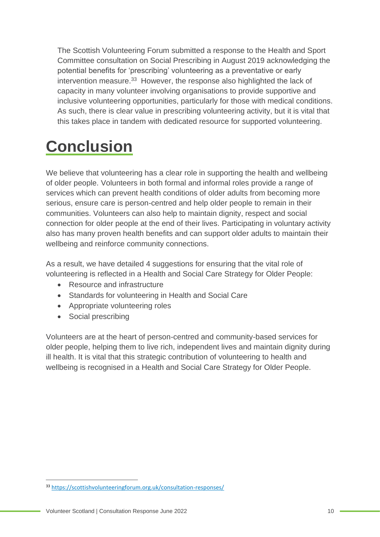The Scottish Volunteering Forum submitted a response to the Health and Sport Committee consultation on Social Prescribing in August 2019 acknowledging the potential benefits for 'prescribing' volunteering as a preventative or early intervention measure.<sup>33</sup> However, the response also highlighted the lack of capacity in many volunteer involving organisations to provide supportive and inclusive volunteering opportunities, particularly for those with medical conditions. As such, there is clear value in prescribing volunteering activity, but it is vital that this takes place in tandem with dedicated resource for supported volunteering.

### **Conclusion**

We believe that volunteering has a clear role in supporting the health and wellbeing of older people. Volunteers in both formal and informal roles provide a range of services which can prevent health conditions of older adults from becoming more serious, ensure care is person-centred and help older people to remain in their communities. Volunteers can also help to maintain dignity, respect and social connection for older people at the end of their lives. Participating in voluntary activity also has many proven health benefits and can support older adults to maintain their wellbeing and reinforce community connections.

As a result, we have detailed 4 suggestions for ensuring that the vital role of volunteering is reflected in a Health and Social Care Strategy for Older People:

- Resource and infrastructure
- Standards for volunteering in Health and Social Care
- Appropriate volunteering roles
- Social prescribing

Volunteers are at the heart of person-centred and community-based services for older people, helping them to live rich, independent lives and maintain dignity during ill health. It is vital that this strategic contribution of volunteering to health and wellbeing is recognised in a Health and Social Care Strategy for Older People.

<sup>33</sup> <https://scottishvolunteeringforum.org.uk/consultation-responses/>